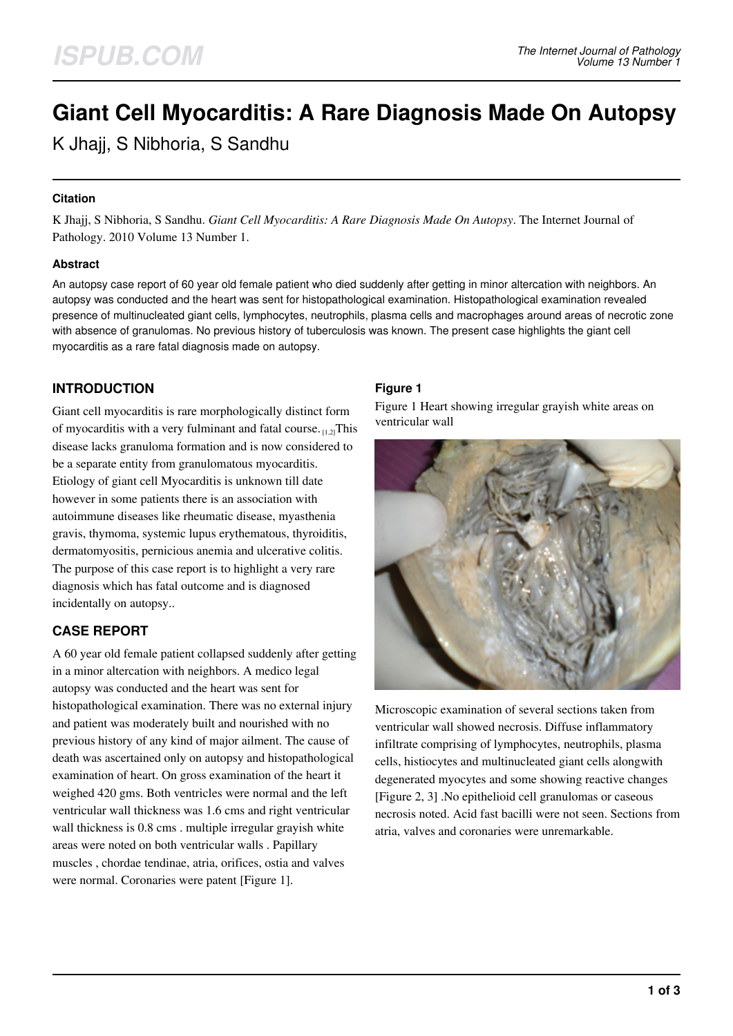# **Giant Cell Myocarditis: A Rare Diagnosis Made On Autopsy**

K Jhajj, S Nibhoria, S Sandhu

## **Citation**

K Jhajj, S Nibhoria, S Sandhu. *Giant Cell Myocarditis: A Rare Diagnosis Made On Autopsy*. The Internet Journal of Pathology. 2010 Volume 13 Number 1.

#### **Abstract**

An autopsy case report of 60 year old female patient who died suddenly after getting in minor altercation with neighbors. An autopsy was conducted and the heart was sent for histopathological examination. Histopathological examination revealed presence of multinucleated giant cells, lymphocytes, neutrophils, plasma cells and macrophages around areas of necrotic zone with absence of granulomas. No previous history of tuberculosis was known. The present case highlights the giant cell myocarditis as a rare fatal diagnosis made on autopsy.

## **INTRODUCTION**

Giant cell myocarditis is rare morphologically distinct form of myocarditis with a very fulminant and fatal course.  $_{1,2}$ This disease lacks granuloma formation and is now considered to be a separate entity from granulomatous myocarditis. Etiology of giant cell Myocarditis is unknown till date however in some patients there is an association with autoimmune diseases like rheumatic disease, myasthenia gravis, thymoma, systemic lupus erythematous, thyroiditis, dermatomyositis, pernicious anemia and ulcerative colitis. The purpose of this case report is to highlight a very rare diagnosis which has fatal outcome and is diagnosed incidentally on autopsy..

# **CASE REPORT**

A 60 year old female patient collapsed suddenly after getting in a minor altercation with neighbors. A medico legal autopsy was conducted and the heart was sent for histopathological examination. There was no external injury and patient was moderately built and nourished with no previous history of any kind of major ailment. The cause of death was ascertained only on autopsy and histopathological examination of heart. On gross examination of the heart it weighed 420 gms. Both ventricles were normal and the left ventricular wall thickness was 1.6 cms and right ventricular wall thickness is 0.8 cms . multiple irregular grayish white areas were noted on both ventricular walls . Papillary muscles , chordae tendinae, atria, orifices, ostia and valves were normal. Coronaries were patent [Figure 1].

## **Figure 1**

Figure 1 Heart showing irregular grayish white areas on ventricular wall



Microscopic examination of several sections taken from ventricular wall showed necrosis. Diffuse inflammatory infiltrate comprising of lymphocytes, neutrophils, plasma cells, histiocytes and multinucleated giant cells alongwith degenerated myocytes and some showing reactive changes [Figure 2, 3] .No epithelioid cell granulomas or caseous necrosis noted. Acid fast bacilli were not seen. Sections from atria, valves and coronaries were unremarkable.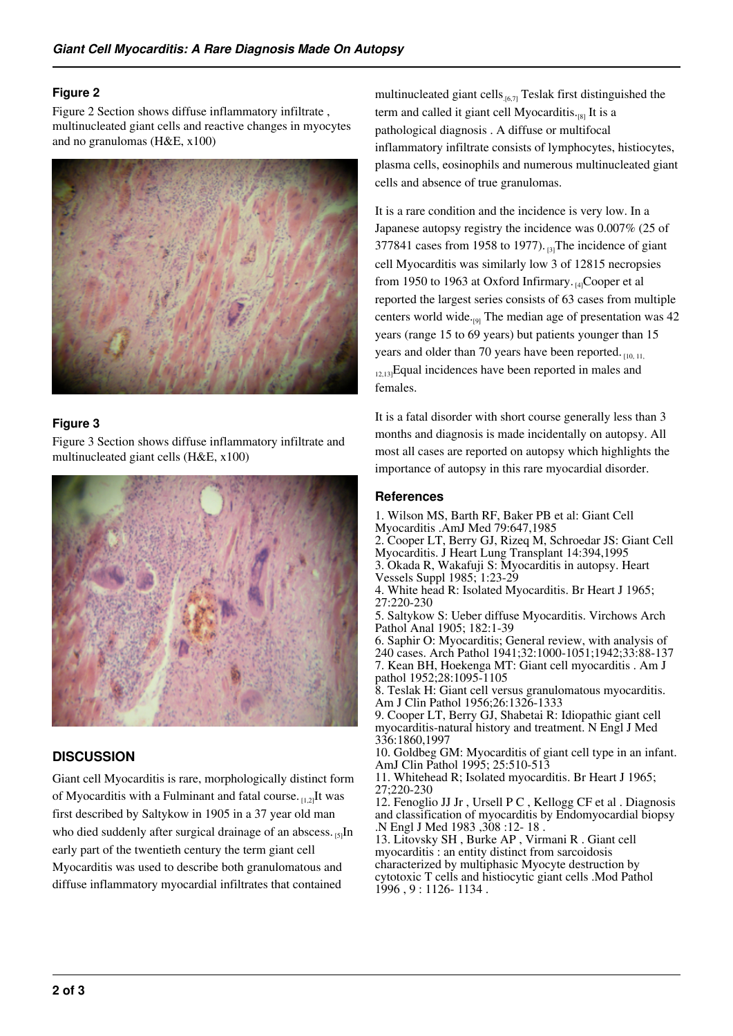## **Figure 2**

Figure 2 Section shows diffuse inflammatory infiltrate , multinucleated giant cells and reactive changes in myocytes and no granulomas (H&E, x100)



## **Figure 3**

Figure 3 Section shows diffuse inflammatory infiltrate and multinucleated giant cells (H&E, x100)



## **DISCUSSION**

Giant cell Myocarditis is rare, morphologically distinct form of Myocarditis with a Fulminant and fatal course.  $_{11,2}$ It was first described by Saltykow in 1905 in a 37 year old man who died suddenly after surgical drainage of an abscess.  $_{[5]}$ In early part of the twentieth century the term giant cell Myocarditis was used to describe both granulomatous and diffuse inflammatory myocardial infiltrates that contained

multinucleated giant cells $_{.6,7}$  Teslak first distinguished the term and called it giant cell Myocarditis.<sub>[8]</sub> It is a pathological diagnosis . A diffuse or multifocal inflammatory infiltrate consists of lymphocytes, histiocytes, plasma cells, eosinophils and numerous multinucleated giant cells and absence of true granulomas.

It is a rare condition and the incidence is very low. In a Japanese autopsy registry the incidence was 0.007% (25 of 377841 cases from 1958 to 1977).  $_{[3]}$ The incidence of giant cell Myocarditis was similarly low 3 of 12815 necropsies from 1950 to 1963 at Oxford Infirmary.  $H_4$ Cooper et al reported the largest series consists of 63 cases from multiple centers world wide. $_{[9]}$  The median age of presentation was 42 years (range 15 to 69 years) but patients younger than 15 years and older than 70 years have been reported.  $_{[10, 11]}$  $_{12,13}$ Equal incidences have been reported in males and females.

It is a fatal disorder with short course generally less than 3 months and diagnosis is made incidentally on autopsy. All most all cases are reported on autopsy which highlights the importance of autopsy in this rare myocardial disorder.

#### **References**

1. Wilson MS, Barth RF, Baker PB et al: Giant Cell Myocarditis .AmJ Med 79:647,1985

- 2. Cooper LT, Berry GJ, Rizeq M, Schroedar JS: Giant Cell Myocarditis. J Heart Lung Transplant 14:394,1995
- 3. Okada R, Wakafuji S: Myocarditis in autopsy. Heart Vessels Suppl 1985; 1:23-29
- 4. White head R: Isolated Myocarditis. Br Heart J 1965; 27:220-230
- 5. Saltykow S: Ueber diffuse Myocarditis. Virchows Arch Pathol Anal 1905; 182:1-39
- 6. Saphir O: Myocarditis; General review, with analysis of 240 cases. Arch Pathol 1941;32:1000-1051;1942;33:88-137 7. Kean BH, Hoekenga MT: Giant cell myocarditis . Am J pathol 1952;28:1095-1105

8. Teslak H: Giant cell versus granulomatous myocarditis. Am J Clin Pathol 1956;26:1326-1333

9. Cooper LT, Berry GJ, Shabetai R: Idiopathic giant cell myocarditis-natural history and treatment. N Engl J Med 336:1860,1997

10. Goldbeg GM: Myocarditis of giant cell type in an infant. AmJ Clin Pathol 1995; 25:510-513

11. Whitehead R; Isolated myocarditis. Br Heart J 1965; 27;220-230

12. Fenoglio JJ Jr , Ursell P C , Kellogg CF et al . Diagnosis and classification of myocarditis by Endomyocardial biopsy .N Engl J Med 1983 ,308 :12- 18 .

13. Litovsky SH , Burke AP , Virmani R . Giant cell myocarditis : an entity distinct from sarcoidosis characterized by multiphasic Myocyte destruction by cytotoxic T cells and histiocytic giant cells .Mod Pathol 1996 , 9 : 1126- 1134 .